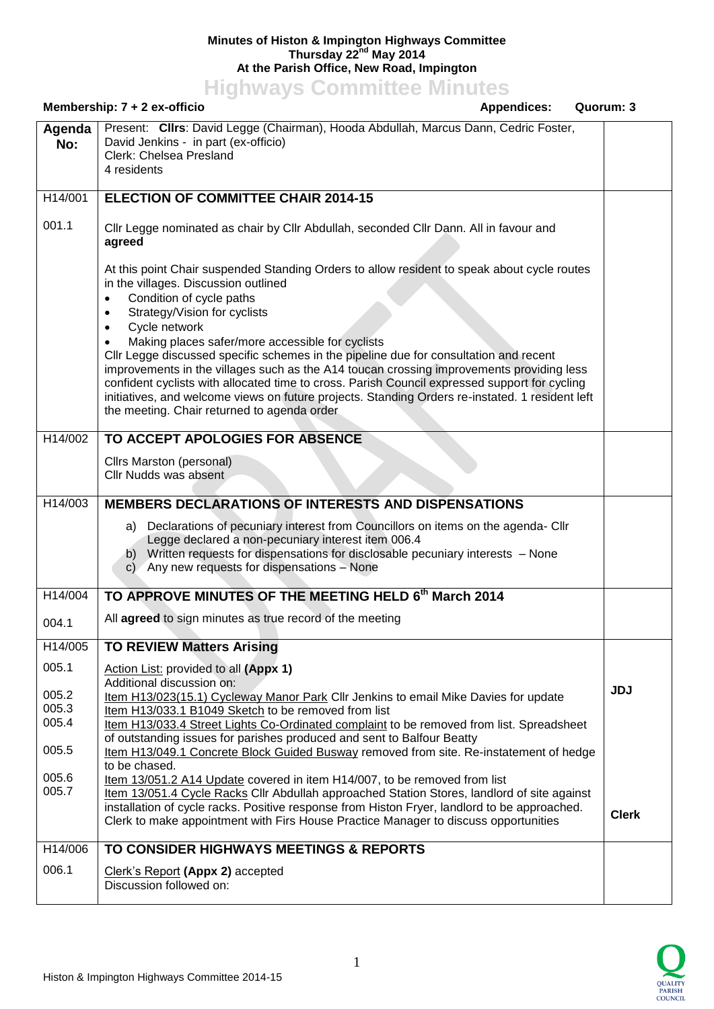## **Minutes of Histon & Impington Highways Committee Thursday 22nd May 2014 At the Parish Office, New Road, Impington**

**Highways Committee Minutes**

| Membership: 7 + 2 ex-officio<br><b>Appendices:</b><br>Quorum: 3 |                                                                                                                                                                                                                                                                                                                                                                                                                                                                                                                                                                                                                                                                                                                                             |              |
|-----------------------------------------------------------------|---------------------------------------------------------------------------------------------------------------------------------------------------------------------------------------------------------------------------------------------------------------------------------------------------------------------------------------------------------------------------------------------------------------------------------------------------------------------------------------------------------------------------------------------------------------------------------------------------------------------------------------------------------------------------------------------------------------------------------------------|--------------|
| Agenda<br>No:                                                   | Present: Clirs: David Legge (Chairman), Hooda Abdullah, Marcus Dann, Cedric Foster,<br>David Jenkins - in part (ex-officio)<br>Clerk: Chelsea Presland<br>4 residents                                                                                                                                                                                                                                                                                                                                                                                                                                                                                                                                                                       |              |
| H14/001                                                         | <b>ELECTION OF COMMITTEE CHAIR 2014-15</b>                                                                                                                                                                                                                                                                                                                                                                                                                                                                                                                                                                                                                                                                                                  |              |
| 001.1                                                           | Cllr Legge nominated as chair by Cllr Abdullah, seconded Cllr Dann. All in favour and<br>agreed                                                                                                                                                                                                                                                                                                                                                                                                                                                                                                                                                                                                                                             |              |
|                                                                 | At this point Chair suspended Standing Orders to allow resident to speak about cycle routes<br>in the villages. Discussion outlined<br>Condition of cycle paths<br>$\bullet$<br>Strategy/Vision for cyclists<br>٠<br>Cycle network<br>$\bullet$<br>Making places safer/more accessible for cyclists<br>CIIr Legge discussed specific schemes in the pipeline due for consultation and recent<br>improvements in the villages such as the A14 toucan crossing improvements providing less<br>confident cyclists with allocated time to cross. Parish Council expressed support for cycling<br>initiatives, and welcome views on future projects. Standing Orders re-instated. 1 resident left<br>the meeting. Chair returned to agenda order |              |
| H14/002                                                         | TO ACCEPT APOLOGIES FOR ABSENCE                                                                                                                                                                                                                                                                                                                                                                                                                                                                                                                                                                                                                                                                                                             |              |
|                                                                 | Cllrs Marston (personal)<br>Cllr Nudds was absent                                                                                                                                                                                                                                                                                                                                                                                                                                                                                                                                                                                                                                                                                           |              |
| H14/003                                                         | <b>MEMBERS DECLARATIONS OF INTERESTS AND DISPENSATIONS</b>                                                                                                                                                                                                                                                                                                                                                                                                                                                                                                                                                                                                                                                                                  |              |
|                                                                 | Declarations of pecuniary interest from Councillors on items on the agenda- Cllr<br>a)<br>Legge declared a non-pecuniary interest item 006.4<br>b) Written requests for dispensations for disclosable pecuniary interests - None<br>c) Any new requests for dispensations - None                                                                                                                                                                                                                                                                                                                                                                                                                                                            |              |
| H14/004                                                         | TO APPROVE MINUTES OF THE MEETING HELD 6th March 2014                                                                                                                                                                                                                                                                                                                                                                                                                                                                                                                                                                                                                                                                                       |              |
| 004.1                                                           | All agreed to sign minutes as true record of the meeting                                                                                                                                                                                                                                                                                                                                                                                                                                                                                                                                                                                                                                                                                    |              |
| H14/005                                                         | <b>TO REVIEW Matters Arising</b>                                                                                                                                                                                                                                                                                                                                                                                                                                                                                                                                                                                                                                                                                                            |              |
| 005.1<br>005.2<br>005.3<br>005.4<br>005.5                       | Action List: provided to all (Appx 1)<br>Additional discussion on:<br>Item H13/023(15.1) Cycleway Manor Park Cllr Jenkins to email Mike Davies for update<br>Item H13/033.1 B1049 Sketch to be removed from list<br>Item H13/033.4 Street Lights Co-Ordinated complaint to be removed from list. Spreadsheet<br>of outstanding issues for parishes produced and sent to Balfour Beatty                                                                                                                                                                                                                                                                                                                                                      | <b>JDJ</b>   |
|                                                                 | Item H13/049.1 Concrete Block Guided Busway removed from site. Re-instatement of hedge<br>to be chased.                                                                                                                                                                                                                                                                                                                                                                                                                                                                                                                                                                                                                                     |              |
| 005.6<br>005.7                                                  | Item 13/051.2 A14 Update covered in item H14/007, to be removed from list<br>Item 13/051.4 Cycle Racks Cllr Abdullah approached Station Stores, landlord of site against<br>installation of cycle racks. Positive response from Histon Fryer, landlord to be approached.<br>Clerk to make appointment with Firs House Practice Manager to discuss opportunities                                                                                                                                                                                                                                                                                                                                                                             | <b>Clerk</b> |
| H14/006                                                         | TO CONSIDER HIGHWAYS MEETINGS & REPORTS                                                                                                                                                                                                                                                                                                                                                                                                                                                                                                                                                                                                                                                                                                     |              |
| 006.1                                                           | Clerk's Report (Appx 2) accepted<br>Discussion followed on:                                                                                                                                                                                                                                                                                                                                                                                                                                                                                                                                                                                                                                                                                 |              |

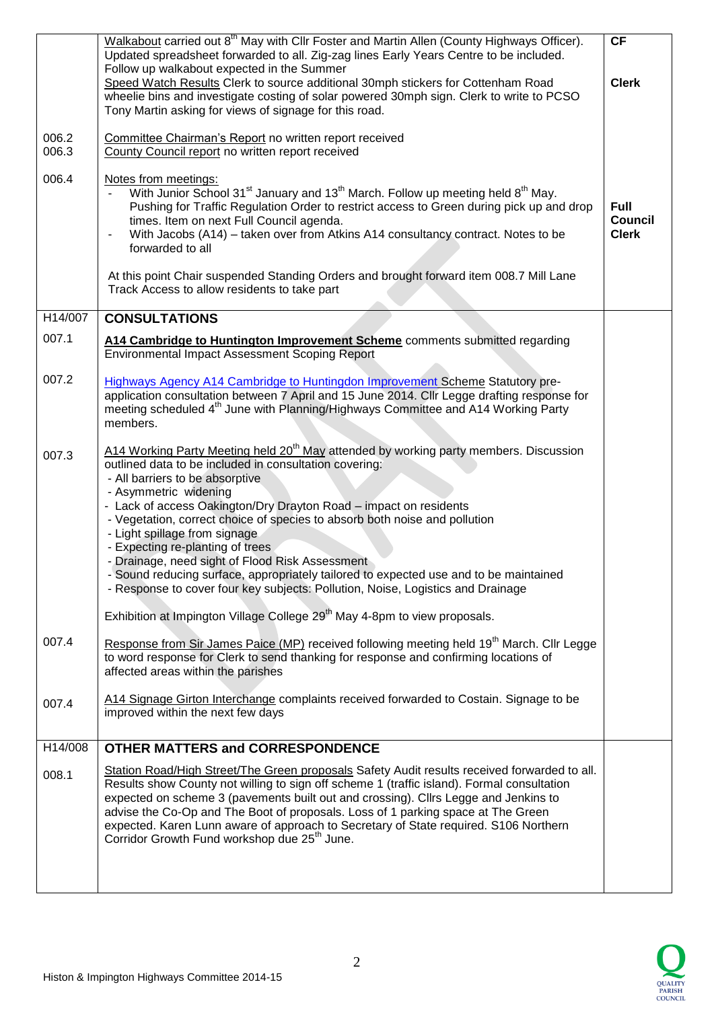|                | Walkabout carried out 8 <sup>th</sup> May with Cllr Foster and Martin Allen (County Highways Officer).<br>Updated spreadsheet forwarded to all. Zig-zag lines Early Years Centre to be included.<br>Follow up walkabout expected in the Summer                                                                                                                                                                                                                                                                                                                                                                                                                                                                                                                          | <b>CF</b>                                     |
|----------------|-------------------------------------------------------------------------------------------------------------------------------------------------------------------------------------------------------------------------------------------------------------------------------------------------------------------------------------------------------------------------------------------------------------------------------------------------------------------------------------------------------------------------------------------------------------------------------------------------------------------------------------------------------------------------------------------------------------------------------------------------------------------------|-----------------------------------------------|
|                | Speed Watch Results Clerk to source additional 30mph stickers for Cottenham Road<br>wheelie bins and investigate costing of solar powered 30mph sign. Clerk to write to PCSO<br>Tony Martin asking for views of signage for this road.                                                                                                                                                                                                                                                                                                                                                                                                                                                                                                                                  | <b>Clerk</b>                                  |
| 006.2<br>006.3 | Committee Chairman's Report no written report received<br>County Council report no written report received                                                                                                                                                                                                                                                                                                                                                                                                                                                                                                                                                                                                                                                              |                                               |
| 006.4          | Notes from meetings:<br>With Junior School 31 <sup>st</sup> January and 13 <sup>th</sup> March. Follow up meeting held 8 <sup>th</sup> May.<br>Pushing for Traffic Regulation Order to restrict access to Green during pick up and drop<br>times. Item on next Full Council agenda.<br>With Jacobs (A14) – taken over from Atkins A14 consultancy contract. Notes to be<br>forwarded to all                                                                                                                                                                                                                                                                                                                                                                             | <b>Full</b><br><b>Council</b><br><b>Clerk</b> |
|                | At this point Chair suspended Standing Orders and brought forward item 008.7 Mill Lane<br>Track Access to allow residents to take part                                                                                                                                                                                                                                                                                                                                                                                                                                                                                                                                                                                                                                  |                                               |
| H14/007        | <b>CONSULTATIONS</b>                                                                                                                                                                                                                                                                                                                                                                                                                                                                                                                                                                                                                                                                                                                                                    |                                               |
| 007.1          | A14 Cambridge to Huntington Improvement Scheme comments submitted regarding<br><b>Environmental Impact Assessment Scoping Report</b>                                                                                                                                                                                                                                                                                                                                                                                                                                                                                                                                                                                                                                    |                                               |
| 007.2          | <b>Highways Agency A14 Cambridge to Huntingdon Improvement Scheme Statutory pre-</b><br>application consultation between 7 April and 15 June 2014. Cllr Legge drafting response for<br>meeting scheduled 4 <sup>th</sup> June with Planning/Highways Committee and A14 Working Party<br>members.                                                                                                                                                                                                                                                                                                                                                                                                                                                                        |                                               |
| 007.3          | A14 Working Party Meeting held 20 <sup>th</sup> May attended by working party members. Discussion<br>outlined data to be included in consultation covering:<br>- All barriers to be absorptive<br>- Asymmetric widening<br>- Lack of access Oakington/Dry Drayton Road - impact on residents<br>- Vegetation, correct choice of species to absorb both noise and pollution<br>- Light spillage from signage<br>- Expecting re-planting of trees<br>- Drainage, need sight of Flood Risk Assessment<br>- Sound reducing surface, appropriately tailored to expected use and to be maintained<br>- Response to cover four key subjects: Pollution, Noise, Logistics and Drainage<br>Exhibition at Impington Village College 29 <sup>th</sup> May 4-8pm to view proposals. |                                               |
| 007.4          | Response from Sir James Paice (MP) received following meeting held 19 <sup>th</sup> March. Cllr Legge<br>to word response for Clerk to send thanking for response and confirming locations of<br>affected areas within the parishes                                                                                                                                                                                                                                                                                                                                                                                                                                                                                                                                     |                                               |
| 007.4          | A14 Signage Girton Interchange complaints received forwarded to Costain. Signage to be<br>improved within the next few days                                                                                                                                                                                                                                                                                                                                                                                                                                                                                                                                                                                                                                             |                                               |
| H14/008        | <b>OTHER MATTERS and CORRESPONDENCE</b>                                                                                                                                                                                                                                                                                                                                                                                                                                                                                                                                                                                                                                                                                                                                 |                                               |
| 008.1          | Station Road/High Street/The Green proposals Safety Audit results received forwarded to all.<br>Results show County not willing to sign off scheme 1 (traffic island). Formal consultation<br>expected on scheme 3 (pavements built out and crossing). Cllrs Legge and Jenkins to<br>advise the Co-Op and The Boot of proposals. Loss of 1 parking space at The Green<br>expected. Karen Lunn aware of approach to Secretary of State required. S106 Northern<br>Corridor Growth Fund workshop due 25 <sup>th</sup> June.                                                                                                                                                                                                                                               |                                               |
|                |                                                                                                                                                                                                                                                                                                                                                                                                                                                                                                                                                                                                                                                                                                                                                                         |                                               |